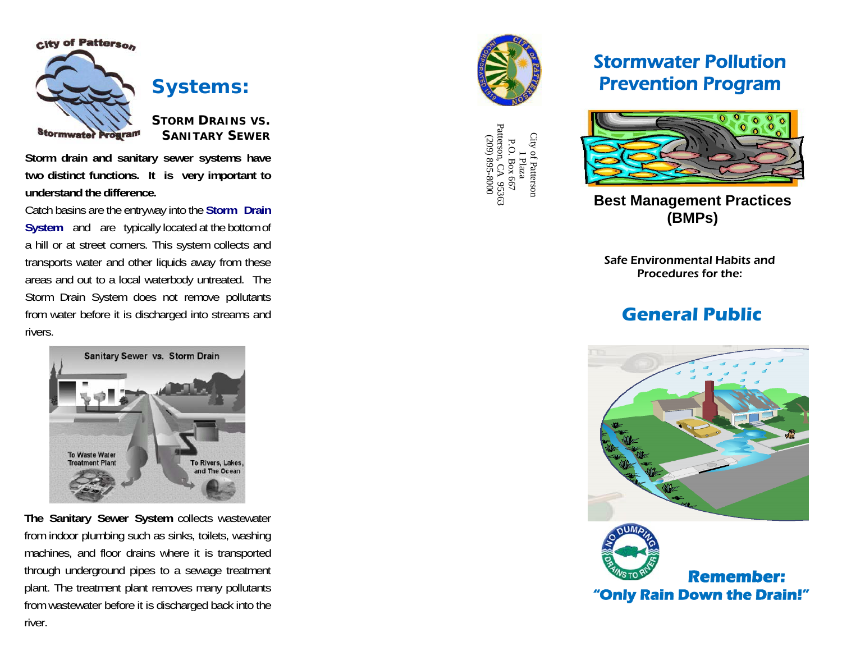

**Systems:** 

**STORM DRAINS VS. SANITARY SEWER**

**Storm drain and sanitary sewer systems have two distinct functions. It is very important to understand the difference.**

Catch basins are the entryway into the **Storm Drain System** and are typically located at the bottom of a hill or at street corners. This system collects and transports water and other liquids away from these areas and out to a local waterbody untreated. The Storm Drain System does not remove pollutants from water before it is discharged into streams and rivers.

> Sanitary Sewer vs. Storm Drain To Waste Water To Rivers, Lakes and The Ocean

**The Sanitary Sewer System** collects wastewater from indoor plumbing such as sinks, toilets, washing machines, and floor drains where it is transported through underground pipes to a sewage treatment plant. The treatment plant removes many pollutants from wastewater before it is discharged back into the river.



City of Patterson City of Patterson<br>
1 Plaza<br>
P.O. Box 667<br>
Patterson, CA 95363<br>
(209) 895-8000<br>
(209) 895-8000 P.O. Box 667 Patterson, CA 95363 (209) 895-8000

## Stormwater Pollution Prevention Program



**Best Management Practices (BMPs)**

Safe Environmental Habits and Procedures for the:

## **General Public**